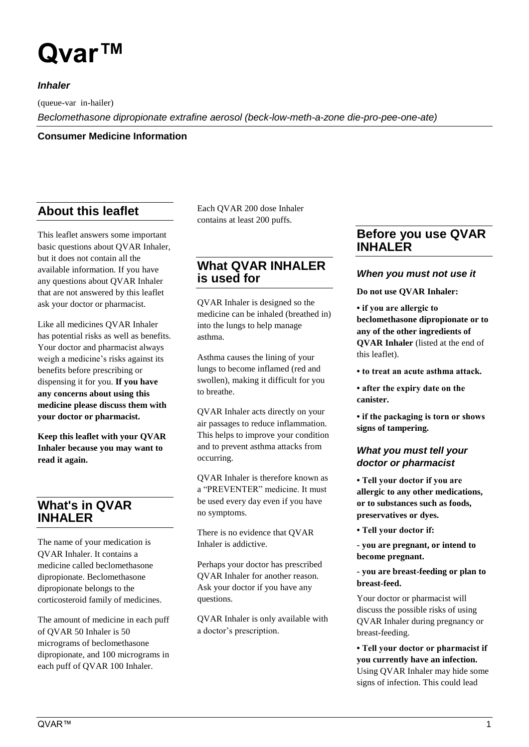# **Qvar™**

*Inhaler*

(queue-var in-hailer)

*Beclomethasone dipropionate extrafine aerosol (beck-low-meth-a-zone die-pro-pee-one-ate)*

**Consumer Medicine Information**

# **About this leaflet**

This leaflet answers some important basic questions about QVAR Inhaler, but it does not contain all the available information. If you have any questions about QVAR Inhaler that are not answered by this leaflet ask your doctor or pharmacist.

Like all medicines QVAR Inhaler has potential risks as well as benefits. Your doctor and pharmacist always weigh a medicine's risks against its benefits before prescribing or dispensing it for you. **If you have any concerns about using this medicine please discuss them with your doctor or pharmacist.**

**Keep this leaflet with your QVAR Inhaler because you may want to read it again.**

# **What's in QVAR INHALER**

The name of your medication is QVAR Inhaler. It contains a medicine called beclomethasone dipropionate. Beclomethasone dipropionate belongs to the corticosteroid family of medicines.

The amount of medicine in each puff of QVAR 50 Inhaler is 50 micrograms of beclomethasone dipropionate, and 100 micrograms in each puff of QVAR 100 Inhaler.

Each QVAR 200 dose Inhaler contains at least 200 puffs.

# **What QVAR INHALER is used for**

QVAR Inhaler is designed so the medicine can be inhaled (breathed in) into the lungs to help manage asthma.

Asthma causes the lining of your lungs to become inflamed (red and swollen), making it difficult for you to breathe.

QVAR Inhaler acts directly on your air passages to reduce inflammation. This helps to improve your condition and to prevent asthma attacks from occurring.

QVAR Inhaler is therefore known as a "PREVENTER" medicine. It must be used every day even if you have no symptoms.

There is no evidence that QVAR Inhaler is addictive.

Perhaps your doctor has prescribed QVAR Inhaler for another reason. Ask your doctor if you have any questions.

QVAR Inhaler is only available with a doctor's prescription.

# **Before you use QVAR INHALER**

## *When you must not use it*

**Do not use QVAR Inhaler:**

**• if you are allergic to beclomethasone dipropionate or to any of the other ingredients of QVAR Inhaler** (listed at the end of this leaflet).

**• to treat an acute asthma attack.**

- **after the expiry date on the canister.**
- **if the packaging is torn or shows signs of tampering.**

# *What you must tell your doctor or pharmacist*

**• Tell your doctor if you are allergic to any other medications, or to substances such as foods, preservatives or dyes.**

- **Tell your doctor if:**
- **- you are pregnant, or intend to become pregnant.**

#### **- you are breast-feeding or plan to breast-feed.**

Your doctor or pharmacist will discuss the possible risks of using QVAR Inhaler during pregnancy or breast-feeding.

**• Tell your doctor or pharmacist if you currently have an infection.**  Using QVAR Inhaler may hide some signs of infection. This could lead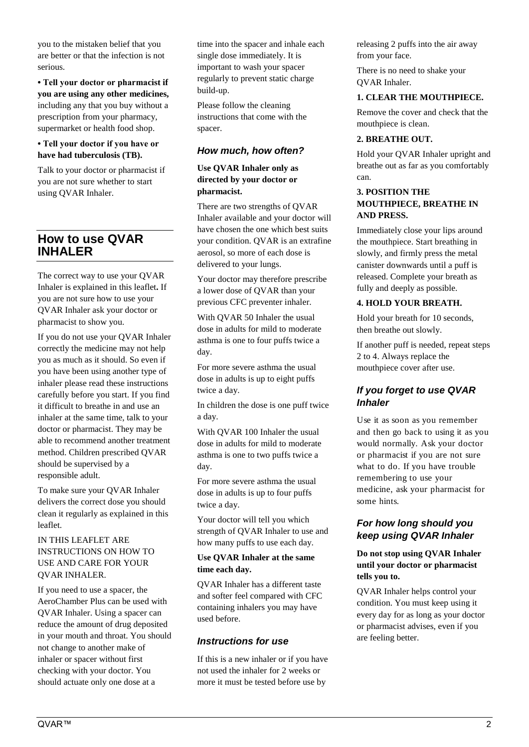you to the mistaken belief that you are better or that the infection is not serious.

**• Tell your doctor or pharmacist if you are using any other medicines,**  including any that you buy without a prescription from your pharmacy, supermarket or health food shop.

## **• Tell your doctor if you have or have had tuberculosis (TB).**

Talk to your doctor or pharmacist if you are not sure whether to start using QVAR Inhaler.

# **How to use QVAR INHALER**

The correct way to use your QVAR Inhaler is explained in this leaflet**.** If you are not sure how to use your QVAR Inhaler ask your doctor or pharmacist to show you.

If you do not use your QVAR Inhaler correctly the medicine may not help you as much as it should. So even if you have been using another type of inhaler please read these instructions carefully before you start. If you find it difficult to breathe in and use an inhaler at the same time, talk to your doctor or pharmacist. They may be able to recommend another treatment method. Children prescribed QVAR should be supervised by a responsible adult.

To make sure your QVAR Inhaler delivers the correct dose you should clean it regularly as explained in this leaflet.

#### IN THIS LEAFLET ARE INSTRUCTIONS ON HOW TO USE AND CARE FOR YOUR QVAR INHALER.

If you need to use a spacer, the AeroChamber Plus can be used with QVAR Inhaler. Using a spacer can reduce the amount of drug deposited in your mouth and throat. You should not change to another make of inhaler or spacer without first checking with your doctor. You should actuate only one dose at a

time into the spacer and inhale each single dose immediately. It is important to wash your spacer regularly to prevent static charge build-up.

Please follow the cleaning instructions that come with the spacer.

# *How much, how often?*

**Use QVAR Inhaler only as directed by your doctor or pharmacist.**

There are two strengths of QVAR Inhaler available and your doctor will have chosen the one which best suits your condition. QVAR is an extrafine aerosol, so more of each dose is delivered to your lungs.

Your doctor may therefore prescribe a lower dose of QVAR than your previous CFC preventer inhaler.

With QVAR 50 Inhaler the usual dose in adults for mild to moderate asthma is one to four puffs twice a day.

For more severe asthma the usual dose in adults is up to eight puffs twice a day.

In children the dose is one puff twice a day.

With QVAR 100 Inhaler the usual dose in adults for mild to moderate asthma is one to two puffs twice a day.

For more severe asthma the usual dose in adults is up to four puffs twice a day.

Your doctor will tell you which strength of QVAR Inhaler to use and how many puffs to use each day.

#### **Use QVAR Inhaler at the same time each day.**

QVAR Inhaler has a different taste and softer feel compared with CFC containing inhalers you may have used before.

## *Instructions for use*

If this is a new inhaler or if you have not used the inhaler for 2 weeks or more it must be tested before use by

releasing 2 puffs into the air away from your face.

There is no need to shake your QVAR Inhaler.

## **1. CLEAR THE MOUTHPIECE.**

Remove the cover and check that the mouthpiece is clean.

## **2. BREATHE OUT.**

Hold your QVAR Inhaler upright and breathe out as far as you comfortably can.

#### **3. POSITION THE MOUTHPIECE, BREATHE IN AND PRESS.**

Immediately close your lips around the mouthpiece. Start breathing in slowly, and firmly press the metal canister downwards until a puff is released. Complete your breath as fully and deeply as possible.

## **4. HOLD YOUR BREATH.**

Hold your breath for 10 seconds, then breathe out slowly.

If another puff is needed, repeat steps 2 to 4. Always replace the mouthpiece cover after use.

# *If you forget to use QVAR Inhaler*

Use it as soon as you remember and then go back to using it as you would normally. Ask your doctor or pharmacist if you are not sure what to do. If you have trouble remembering to use your medicine, ask your pharmacist for some hints.

## *For how long should you keep using QVAR Inhaler*

**Do not stop using QVAR Inhaler until your doctor or pharmacist tells you to.**

QVAR Inhaler helps control your condition. You must keep using it every day for as long as your doctor or pharmacist advises, even if you are feeling better.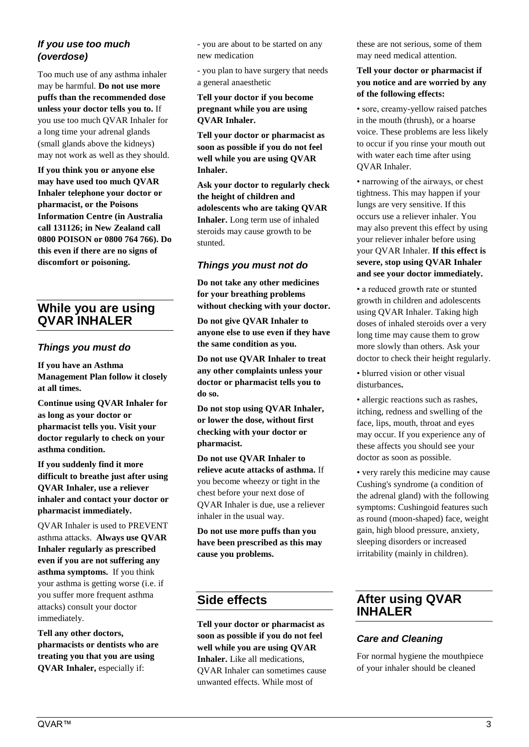# *If you use too much (overdose)*

Too much use of any asthma inhaler may be harmful. **Do not use more puffs than the recommended dose unless your doctor tells you to.** If you use too much QVAR Inhaler for a long time your adrenal glands (small glands above the kidneys) may not work as well as they should.

**If you think you or anyone else may have used too much QVAR Inhaler telephone your doctor or pharmacist, or the Poisons Information Centre (in Australia call 131126; in New Zealand call 0800 POISON or 0800 764 766). Do this even if there are no signs of discomfort or poisoning.**

# **While you are using QVAR INHALER**

## *Things you must do*

**If you have an Asthma Management Plan follow it closely at all times.** 

**Continue using QVAR Inhaler for as long as your doctor or pharmacist tells you. Visit your doctor regularly to check on your asthma condition.** 

**If you suddenly find it more difficult to breathe just after using QVAR Inhaler, use a reliever inhaler and contact your doctor or pharmacist immediately.** 

QVAR Inhaler is used to PREVENT asthma attacks. **Always use QVAR Inhaler regularly as prescribed even if you are not suffering any asthma symptoms.** If you think your asthma is getting worse (i.e. if you suffer more frequent asthma attacks) consult your doctor immediately.

**Tell any other doctors, pharmacists or dentists who are treating you that you are using QVAR Inhaler,** especially if:

- you are about to be started on any new medication

- you plan to have surgery that needs a general anaesthetic

## **Tell your doctor if you become pregnant while you are using QVAR Inhaler.**

**Tell your doctor or pharmacist as soon as possible if you do not feel well while you are using QVAR Inhaler.**

**Ask your doctor to regularly check the height of children and adolescents who are taking QVAR Inhaler.** Long term use of inhaled steroids may cause growth to be stunted.

## *Things you must not do*

**Do not take any other medicines for your breathing problems without checking with your doctor.**

**Do not give QVAR Inhaler to anyone else to use even if they have the same condition as you.**

**Do not use QVAR Inhaler to treat any other complaints unless your doctor or pharmacist tells you to do so.**

**Do not stop using QVAR Inhaler, or lower the dose, without first checking with your doctor or pharmacist.**

**Do not use QVAR Inhaler to relieve acute attacks of asthma.** If you become wheezy or tight in the chest before your next dose of QVAR Inhaler is due, use a reliever inhaler in the usual way.

**Do not use more puffs than you have been prescribed as this may cause you problems.**

# **Side effects**

**Tell your doctor or pharmacist as soon as possible if you do not feel well while you are using QVAR Inhaler.** Like all medications, QVAR Inhaler can sometimes cause unwanted effects. While most of

these are not serious, some of them may need medical attention.

#### **Tell your doctor or pharmacist if you notice and are worried by any of the following effects:**

• sore, creamy-yellow raised patches in the mouth (thrush), or a hoarse voice. These problems are less likely to occur if you rinse your mouth out with water each time after using QVAR Inhaler.

• narrowing of the airways, or chest tightness. This may happen if your lungs are very sensitive. If this occurs use a reliever inhaler. You may also prevent this effect by using your reliever inhaler before using your QVAR Inhaler. **If this effect is severe, stop using QVAR Inhaler and see your doctor immediately.**

• a reduced growth rate or stunted growth in children and adolescents using QVAR Inhaler. Taking high doses of inhaled steroids over a very long time may cause them to grow more slowly than others. Ask your doctor to check their height regularly.

• blurred vision or other visual disturbances**.**

• allergic reactions such as rashes, itching, redness and swelling of the face, lips, mouth, throat and eyes may occur. If you experience any of these affects you should see your doctor as soon as possible.

• very rarely this medicine may cause Cushing's syndrome (a condition of the adrenal gland) with the following symptoms: Cushingoid features such as round (moon-shaped) face, weight gain, high blood pressure, anxiety, sleeping disorders or increased irritability (mainly in children).

# **After using QVAR INHALER**

# *Care and Cleaning*

For normal hygiene the mouthpiece of your inhaler should be cleaned